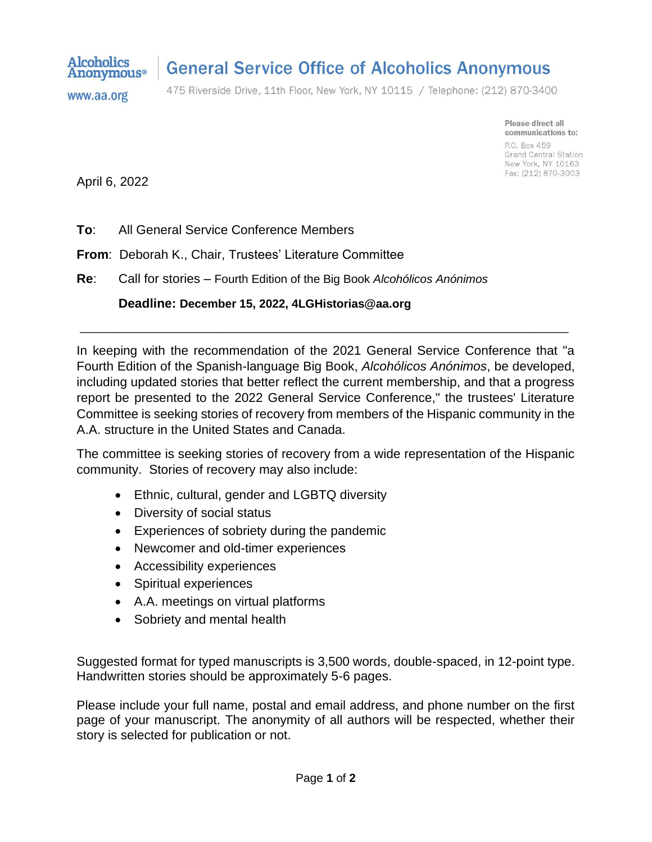

## **General Service Office of Alcoholics Anonymous**

www.aa.org

475 Riverside Drive, 11th Floor, New York, NY 10115 / Telephone: (212) 870-3400

Please direct all communications to: P.O. Box 459 Grand Central Station New York, NY 10163 Fax: (212) 870-3003

April 6, 2022

**To**: All General Service Conference Members

**From**: Deborah K., Chair, Trustees' Literature Committee

**Re**: Call for stories – Fourth Edition of the Big Book *Alcohólicos Anónimos*

**Deadline: December 15, 2022, 4LGHistorias@aa.org**

In keeping with the recommendation of the 2021 General Service Conference that "a Fourth Edition of the Spanish-language Big Book, *Alcohólicos Anónimos*, be developed, including updated stories that better reflect the current membership, and that a progress report be presented to the 2022 General Service Conference," the trustees' Literature Committee is seeking stories of recovery from members of the Hispanic community in the A.A. structure in the United States and Canada.

\_\_\_\_\_\_\_\_\_\_\_\_\_\_\_\_\_\_\_\_\_\_\_\_\_\_\_\_\_\_\_\_\_\_\_\_\_\_\_\_\_\_\_\_\_\_\_\_\_\_\_\_\_\_\_\_\_\_\_\_\_\_\_\_\_\_\_\_\_\_\_\_\_\_\_

The committee is seeking stories of recovery from a wide representation of the Hispanic community. Stories of recovery may also include:

- Ethnic, cultural, gender and LGBTQ diversity
- Diversity of social status
- Experiences of sobriety during the pandemic
- Newcomer and old-timer experiences
- Accessibility experiences
- Spiritual experiences
- A.A. meetings on virtual platforms
- Sobriety and mental health

Suggested format for typed manuscripts is 3,500 words, double-spaced, in 12-point type. Handwritten stories should be approximately 5-6 pages.

Please include your full name, postal and email address, and phone number on the first page of your manuscript. The anonymity of all authors will be respected, whether their story is selected for publication or not.